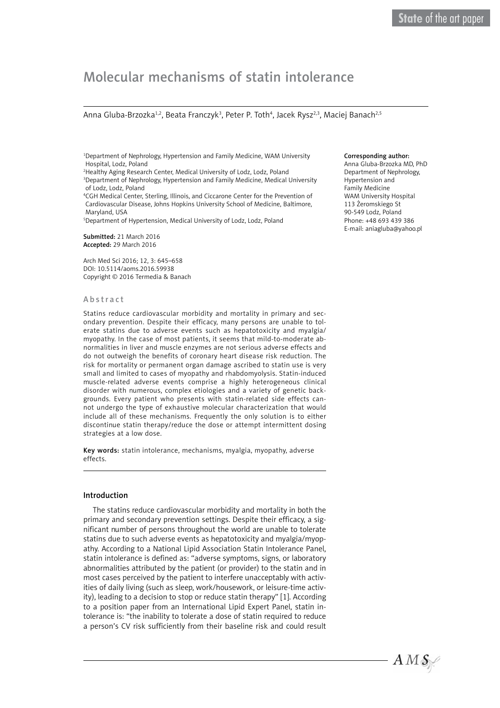# Molecular mechanisms of statin intolerance

#### Anna Gluba-Brzozka<sup>1,2</sup>, Beata Franczyk<sup>3</sup>, Peter P. Toth<sup>4</sup>, Jacek Rysz<sup>2,3</sup>, Maciej Banach<sup>2,5</sup>

1 Department of Nephrology, Hypertension and Family Medicine, WAM University Hospital, Lodz, Poland

2 Healthy Aging Research Center, Medical University of Lodz, Lodz, Poland 3 Department of Nephrology, Hypertension and Family Medicine, Medical University of Lodz, Lodz, Poland

4 CGH Medical Center, Sterling, Illinois, and Ciccarone Center for the Prevention of Cardiovascular Disease, Johns Hopkins University School of Medicine, Baltimore, Maryland, USA

5 Department of Hypertension, Medical University of Lodz, Lodz, Poland

Submitted: 21 March 2016 Accepted: 29 March 2016

Arch Med Sci 2016; 12, 3: 645–658 DOI: 10.5114/aoms.2016.59938 Copyright © 2016 Termedia & Banach

#### Abstract

Statins reduce cardiovascular morbidity and mortality in primary and secondary prevention. Despite their efficacy, many persons are unable to tolerate statins due to adverse events such as hepatotoxicity and myalgia/ myopathy. In the case of most patients, it seems that mild-to-moderate abnormalities in liver and muscle enzymes are not serious adverse effects and do not outweigh the benefits of coronary heart disease risk reduction. The risk for mortality or permanent organ damage ascribed to statin use is very small and limited to cases of myopathy and rhabdomyolysis. Statin-induced muscle-related adverse events comprise a highly heterogeneous clinical disorder with numerous, complex etiologies and a variety of genetic backgrounds. Every patient who presents with statin-related side effects cannot undergo the type of exhaustive molecular characterization that would include all of these mechanisms. Frequently the only solution is to either discontinue statin therapy/reduce the dose or attempt intermittent dosing strategies at a low dose.

Key words: statin intolerance, mechanisms, myalgia, myopathy, adverse effects.

#### Introduction

The statins reduce cardiovascular morbidity and mortality in both the primary and secondary prevention settings. Despite their efficacy, a significant number of persons throughout the world are unable to tolerate statins due to such adverse events as hepatotoxicity and myalgia/myopathy. According to a National Lipid Association Statin Intolerance Panel, statin intolerance is defined as: "adverse symptoms, signs, or laboratory abnormalities attributed by the patient (or provider) to the statin and in most cases perceived by the patient to interfere unacceptably with activities of daily living (such as sleep, work/housework, or leisure-time activity), leading to a decision to stop or reduce statin therapy" [1]. According to a position paper from an International Lipid Expert Panel, statin intolerance is: "the inability to tolerate a dose of statin required to reduce a person's CV risk sufficiently from their baseline risk and could result

#### Corresponding author:

Anna Gluba-Brzozka MD, PhD Department of Nephrology, Hypertension and Family Medicine WAM University Hospital 113 Żeromskiego St 90-549 Lodz, Poland Phone: +48 693 439 386 E-mail: aniagluba@yahoo.pl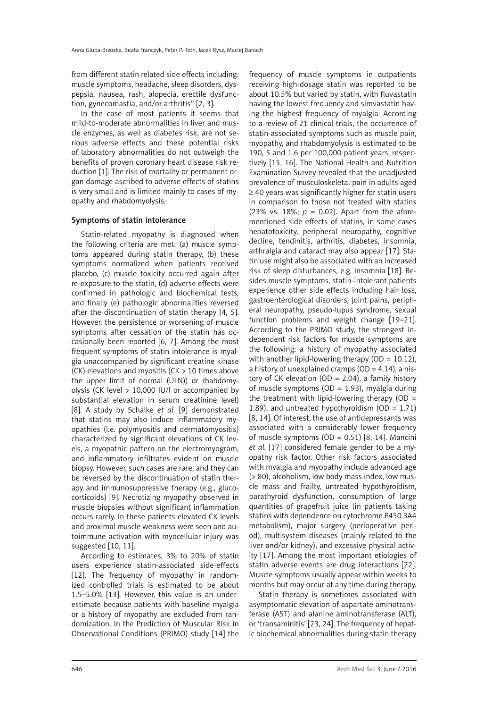from different statin related side effects including: muscle symptoms, headache, sleep disorders, dyspepsia, nausea, rash, alopecia, erectile dysfunction, gynecomastia, and/or arthritis" [2, 3].

In the case of most patients it seems that mild-to-moderate abnormalities in liver and muscle enzymes, as well as diabetes risk, are not serious adverse effects and these potential risks of laboratory abnormalities do not outweigh the benefits of proven coronary heart disease risk reduction [1]. The risk of mortality or permanent organ damage ascribed to adverse effects of statins is very small and is limited mainly to cases of myopathy and rhabdomyolysis.

## Symptoms of statin intolerance

Statin-related myopathy is diagnosed when the following criteria are met: (a) muscle symptoms appeared during statin therapy, (b) these symptoms normalized when patients received placebo, (c) muscle toxicity occurred again after re-exposure to the statin, (d) adverse effects were confirmed in pathologic and biochemical tests, and finally (e) pathologic abnormalities reversed after the discontinuation of statin therapy [4, 5]. However, the persistence or worsening of muscle symptoms after cessation of the statin has occasionally been reported [6, 7]. Among the most frequent symptoms of statin intolerance is myalgia unaccompanied by significant creatine kinase (CK) elevations and myositis (CK  $> 10$  times above the upper limit of normal (ULN)) or rhabdomyolysis (CK level > 10,000 IU/l or accompanied by substantial elevation in serum creatinine level) [8]. A study by Schalke *et al.* [9] demonstrated that statins may also induce inflammatory myopathies (i.e. polymyositis and dermatomyositis) characterized by significant elevations of CK levels, a myopathic pattern on the electromyogram, and inflammatory infiltrates evident on muscle biopsy. However, such cases are rare, and they can be reversed by the discontinuation of statin therapy and immunosuppressive therapy (e.g., glucocorticoids) [9]. Necrotizing myopathy observed in muscle biopsies without significant inflammation occurs rarely. In these patients elevated CK levels and proximal muscle weakness were seen and autoimmune activation with myocellular injury was suggested [10, 11].

According to estimates, 3% to 20% of statin users experience statin-associated side-effects [12]. The frequency of myopathy in randomized controlled trials is estimated to be about 1.5–5.0% [13]. However, this value is an underestimate because patients with baseline myalgia or a history of myopathy are excluded from randomization. In the Prediction of Muscular Risk in Observational Conditions (PRIMO) study [14] the frequency of muscle symptoms in outpatients receiving high-dosage statin was reported to be about 10.5% but varied by statin, with fluvastatin having the lowest frequency and simvastatin having the highest frequency of myalgia. According to a review of 21 clinical trials, the occurrence of statin-associated symptoms such as muscle pain, myopathy, and rhabdomyolysis is estimated to be 190, 5 and 1.6 per 100,000 patient years, respectively [15, 16]. The National Health and Nutrition Examination Survey revealed that the unadjusted prevalence of musculoskeletal pain in adults aged ≥ 40 years was significantly higher for statin users in comparison to those not treated with statins (23% vs. 18%;  $p = 0.02$ ). Apart from the aforementioned side effects of statins, in some cases hepatotoxicity, peripheral neuropathy, cognitive decline, tendinitis, arthritis, diabetes, insomnia, arthralgia and cataract may also appear [17]. Statin use might also be associated with an increased risk of sleep disturbances, e.g. insomnia [18]. Besides muscle symptoms, statin-intolerant patients experience other side effects including hair loss, gastroenterological disorders, joint pains, peripheral neuropathy, pseudo-lupus syndrome, sexual function problems and weight change [19–21]. According to the PRIMO study, the strongest independent risk factors for muscle symptoms are the following: a history of myopathy associated with another lipid-lowering therapy  $(OD = 10.12)$ . a history of unexplained cramps  $(OD = 4.14)$ , a history of CK elevation (OD = 2.04), a family history of muscle symptoms (OD = 1.93), myalgia during the treatment with lipid-lowering therapy  $(OD =$ 1.89), and untreated hypothyroidism  $(OD = 1.71)$ [8, 14]. Of interest, the use of antidepressants was associated with a considerably lower frequency of muscle symptoms  $(OD = 0.51)$  [8, 14]. Mancini *et al.* [17] considered female gender to be a myopathy risk factor. Other risk factors associated with myalgia and myopathy include advanced age (> 80), alcoholism, low body mass index, low muscle mass and frailty, untreated hypothyroidism, parathyroid dysfunction, consumption of large quantities of grapefruit juice (in patients taking statins with dependence on cytochrome P450 3A4 metabolism), major surgery (perioperative period), multisystem diseases (mainly related to the liver and/or kidney), and excessive physical activity [17]. Among the most important etiologies of statin adverse events are drug interactions [22]. Muscle symptoms usually appear within weeks to months but may occur at any time during therapy.

Statin therapy is sometimes associated with asymptomatic elevation of aspartate aminotransferase (AST) and alanine aminotransferase (ALT), or 'transaminitis' [23, 24]. The frequency of hepatic biochemical abnormalities during statin therapy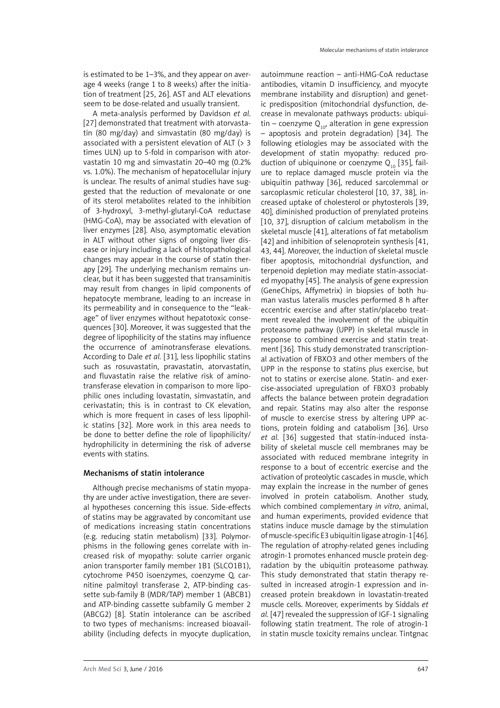is estimated to be 1–3%, and they appear on average 4 weeks (range 1 to 8 weeks) after the initiation of treatment [25, 26]. AST and ALT elevations seem to be dose-related and usually transient.

A meta-analysis performed by Davidson *et al*. [27] demonstrated that treatment with atorvastatin (80 mg/day) and simvastatin (80 mg/day) is associated with a persistent elevation of ALT (> 3 times ULN) up to 5-fold in comparison with atorvastatin 10 mg and simvastatin 20–40 mg (0.2% vs. 1.0%). The mechanism of hepatocellular injury is unclear. The results of animal studies have suggested that the reduction of mevalonate or one of its sterol metabolites related to the inhibition of 3-hydroxyl, 3-methyl-glutaryl-CoA reductase (HMG-CoA), may be associated with elevation of liver enzymes [28]. Also, asymptomatic elevation in ALT without other signs of ongoing liver disease or injury including a lack of histopathological changes may appear in the course of statin therapy [29]. The underlying mechanism remains unclear, but it has been suggested that transaminitis may result from changes in lipid components of hepatocyte membrane, leading to an increase in its permeability and in consequence to the "leakage" of liver enzymes without hepatotoxic consequences [30]. Moreover, it was suggested that the degree of lipophilicity of the statins may influence the occurrence of aminotransferase elevations. According to Dale *et al.* [31], less lipophilic statins such as rosuvastatin, pravastatin, atorvastatin, and fluvastatin raise the relative risk of aminotransferase elevation in comparison to more lipophilic ones including lovastatin, simvastatin, and cerivastatin; this is in contrast to CK elevation, which is more frequent in cases of less lipophilic statins [32]. More work in this area needs to be done to better define the role of lipophilicity/ hydrophilicity in determining the risk of adverse events with statins.

# Mechanisms of statin intolerance

Although precise mechanisms of statin myopathy are under active investigation, there are several hypotheses concerning this issue. Side-effects of statins may be aggravated by concomitant use of medications increasing statin concentrations (e.g. reducing statin metabolism) [33]. Polymorphisms in the following genes correlate with increased risk of myopathy: solute carrier organic anion transporter family member 1B1 (SLCO1B1), cytochrome P450 isoenzymes, coenzyme Q, carnitine palmitoyl transferase 2, ATP-binding cassette sub-family B (MDR/TAP) member 1 (ABCB1) and ATP-binding cassette subfamily G member 2 (ABCG2) [8]. Statin intolerance can be ascribed to two types of mechanisms: increased bioavailability (including defects in myocyte duplication,

autoimmune reaction – anti-HMG-CoA reductase antibodies, vitamin D insufficiency, and myocyte membrane instability and disruption) and genetic predisposition (mitochondrial dysfunction, decrease in mevalonate pathways products: ubiquitin – coenzyme  $Q_{10}$ , alteration in gene expression  $-$  apoptosis and protein degradation) [34]. The following etiologies may be associated with the development of statin myopathy: reduced production of ubiquinone or coenzyme  $Q_{10}$  [35], failure to replace damaged muscle protein via the ubiquitin pathway [36], reduced sarcolemmal or sarcoplasmic reticular cholesterol [10, 37, 38], increased uptake of cholesterol or phytosterols [39, 40], diminished production of prenylated proteins [10, 37], disruption of calcium metabolism in the skeletal muscle [41], alterations of fat metabolism [42] and inhibition of selenoprotein synthesis [41, 43, 44]. Moreover, the induction of skeletal muscle fiber apoptosis, mitochondrial dysfunction, and terpenoid depletion may mediate statin-associated myopathy [45]. The analysis of gene expression (GeneChips, Affymetrix) in biopsies of both human vastus lateralis muscles performed 8 h after eccentric exercise and after statin/placebo treatment revealed the involvement of the ubiquitin proteasome pathway (UPP) in skeletal muscle in response to combined exercise and statin treatment [36]. This study demonstrated transcriptional activation of FBXO3 and other members of the UPP in the response to statins plus exercise, but not to statins or exercise alone. Statin- and exercise-associated upregulation of FBXO3 probably affects the balance between protein degradation and repair. Statins may also alter the response of muscle to exercise stress by altering UPP actions, protein folding and catabolism [36]. Urso *et al.* [36] suggested that statin-induced instability of skeletal muscle cell membranes may be associated with reduced membrane integrity in response to a bout of eccentric exercise and the activation of proteolytic cascades in muscle, which may explain the increase in the number of genes involved in protein catabolism. Another study, which combined complementary *in vitro*, animal, and human experiments, provided evidence that statins induce muscle damage by the stimulation of muscle-specific E3 ubiquitin ligase atrogin-1 [46]. The regulation of atrophy-related genes including atrogin-1 promotes enhanced muscle protein degradation by the ubiquitin proteasome pathway. This study demonstrated that statin therapy resulted in increased atrogin-1 expression and increased protein breakdown in lovastatin-treated muscle cells. Moreover, experiments by Siddals *et al.* [47] revealed the suppression of IGF-1 signaling following statin treatment. The role of atrogin-1 in statin muscle toxicity remains unclear. Tintgnac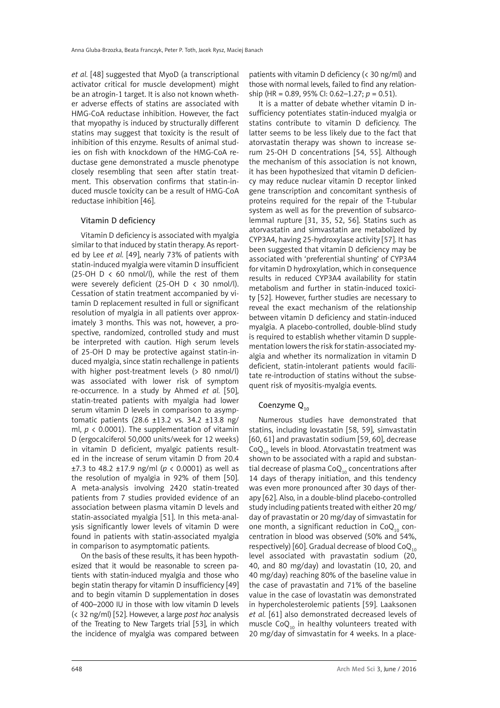*et al.* [48] suggested that MyoD (a transcriptional activator critical for muscle development) might be an atrogin-1 target. It is also not known whether adverse effects of statins are associated with HMG-CoA reductase inhibition. However, the fact that myopathy is induced by structurally different statins may suggest that toxicity is the result of inhibition of this enzyme. Results of animal studies on fish with knockdown of the HMG-CoA reductase gene demonstrated a muscle phenotype closely resembling that seen after statin treatment. This observation confirms that statin-induced muscle toxicity can be a result of HMG-CoA reductase inhibition [46].

#### Vitamin D deficiency

Vitamin D deficiency is associated with myalgia similar to that induced by statin therapy. As reported by Lee *et al.* [49], nearly 73% of patients with statin-induced myalgia were vitamin D insufficient (25-OH  $D < 60$  nmol/l), while the rest of them were severely deficient (25-OH D < 30 nmol/l). Cessation of statin treatment accompanied by vitamin D replacement resulted in full or significant resolution of myalgia in all patients over approximately 3 months. This was not, however, a prospective, randomized, controlled study and must be interpreted with caution. High serum levels of 25-OH D may be protective against statin-induced myalgia, since statin rechallenge in patients with higher post-treatment levels (> 80 nmol/l) was associated with lower risk of symptom re-occurrence. In a study by Ahmed *et al.* [50], statin-treated patients with myalgia had lower serum vitamin D levels in comparison to asymptomatic patients  $(28.6 \pm 13.2 \text{ vs. } 34.2 \pm 13.8 \text{ ns})$ ml,  $p \lt 0.0001$ ). The supplementation of vitamin D (ergocalciferol 50,000 units/week for 12 weeks) in vitamin D deficient, myalgic patients resulted in the increase of serum vitamin D from 20.4 ±7.3 to 48.2 ±17.9 ng/ml (*p* < 0.0001) as well as the resolution of myalgia in 92% of them [50]. A meta-analysis involving 2420 statin-treated patients from 7 studies provided evidence of an association between plasma vitamin D levels and statin-associated myalgia [51]. In this meta-analysis significantly lower levels of vitamin D were found in patients with statin-associated myalgia in comparison to asymptomatic patients.

On the basis of these results, it has been hypothesized that it would be reasonable to screen patients with statin-induced myalgia and those who begin statin therapy for vitamin D insufficiency [49] and to begin vitamin D supplementation in doses of 400–2000 IU in those with low vitamin D levels (< 32 ng/ml) [52]. However, a large *post hoc* analysis of the Treating to New Targets trial [53], in which the incidence of myalgia was compared between

patients with vitamin D deficiency (< 30 ng/ml) and those with normal levels, failed to find any relationship (HR = 0.89, 95% CI: 0.62–1.27; *p* = 0.51).

It is a matter of debate whether vitamin D insufficiency potentiates statin-induced myalgia or statins contribute to vitamin D deficiency. The latter seems to be less likely due to the fact that atorvastatin therapy was shown to increase serum 25-OH D concentrations [54, 55]. Although the mechanism of this association is not known, it has been hypothesized that vitamin D deficiency may reduce nuclear vitamin D receptor linked gene transcription and concomitant synthesis of proteins required for the repair of the T-tubular system as well as for the prevention of subsarcolemmal rupture [31, 35, 52, 56]. Statins such as atorvastatin and simvastatin are metabolized by CYP3A4, having 25-hydroxylase activity [57]. It has been suggested that vitamin D deficiency may be associated with 'preferential shunting' of CYP3A4 for vitamin D hydroxylation, which in consequence results in reduced CYP3A4 availability for statin metabolism and further in statin-induced toxicity [52]. However, further studies are necessary to reveal the exact mechanism of the relationship between vitamin D deficiency and statin-induced myalgia. A placebo-controlled, double-blind study is required to establish whether vitamin D supplementation lowers the risk for statin-associated myalgia and whether its normalization in vitamin D deficient, statin-intolerant patients would facilitate re-introduction of statins without the subsequent risk of myositis-myalgia events.

# Coenzyme  $Q_{10}$

Numerous studies have demonstrated that statins, including lovastatin [58, 59], simvastatin [60, 61] and pravastatin sodium [59, 60], decrease  $CoQ<sub>10</sub>$  levels in blood. Atorvastatin treatment was shown to be associated with a rapid and substantial decrease of plasma  $CoQ_{10}$  concentrations after 14 days of therapy initiation, and this tendency was even more pronounced after 30 days of therapy [62]. Also, in a double-blind placebo-controlled study including patients treated with either 20 mg/ day of pravastatin or 20 mg/day of simvastatin for one month, a significant reduction in Co $Q_{10}$  concentration in blood was observed (50% and 54%, respectively) [60]. Gradual decrease of blood  $CoQ<sub>10</sub>$ level associated with pravastatin sodium (20, 40, and 80 mg/day) and lovastatin (10, 20, and 40 mg/day) reaching 80% of the baseline value in the case of pravastatin and 71% of the baseline value in the case of lovastatin was demonstrated in hypercholesterolemic patients [59]. Laaksonen *et al.* [61] also demonstrated decreased levels of muscle Co $Q_{10}$  in healthy volunteers treated with 20 mg/day of simvastatin for 4 weeks. In a place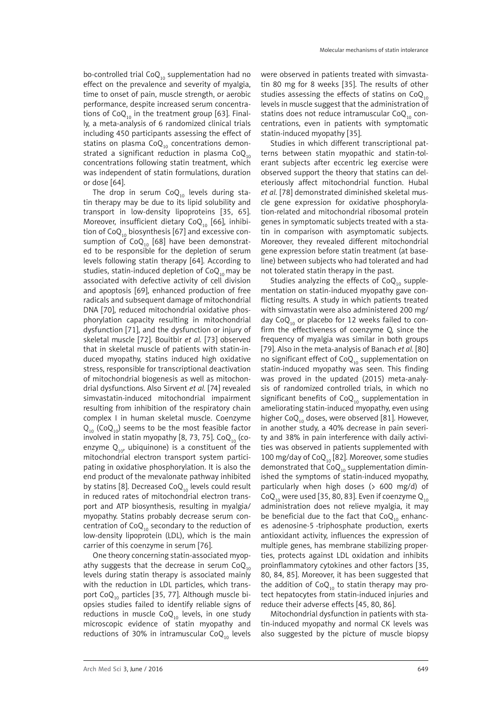bo-controlled trial Co $Q_{10}$  supplementation had no effect on the prevalence and severity of myalgia, time to onset of pain, muscle strength, or aerobic performance, despite increased serum concentrations of  $CoQ_{10}$  in the treatment group [63]. Finally, a meta-analysis of 6 randomized clinical trials including 450 participants assessing the effect of statins on plasma  $CoQ_{10}$  concentrations demonstrated a significant reduction in plasma  $CoQ<sub>10</sub>$ concentrations following statin treatment, which was independent of statin formulations, duration or dose [64].

The drop in serum  $CoQ_{10}$  levels during statin therapy may be due to its lipid solubility and transport in low-density lipoproteins [35, 65]. Moreover, insufficient dietary Co $Q_{10}$  [66], inhibition of Co $Q_{10}$  biosynthesis [67] and excessive consumption of CoQ<sub>10</sub> [68] have been demonstrated to be responsible for the depletion of serum levels following statin therapy [64]. According to studies, statin-induced depletion of  $CoQ_{10}$  may be associated with defective activity of cell division and apoptosis [69], enhanced production of free radicals and subsequent damage of mitochondrial DNA [70], reduced mitochondrial oxidative phosphorylation capacity resulting in mitochondrial dysfunction [71], and the dysfunction or injury of skeletal muscle [72]. Bouitbir *et al.* [73] observed that in skeletal muscle of patients with statin-induced myopathy, statins induced high oxidative stress, responsible for transcriptional deactivation of mitochondrial biogenesis as well as mitochondrial dysfunctions. Also Sirvent *et al.* [74] revealed simvastatin-induced mitochondrial impairment resulting from inhibition of the respiratory chain complex I in human skeletal muscle. Coenzyme  $Q_{10}$  (Co $Q_{10}$ ) seems to be the most feasible factor involved in statin myopathy [8, 73, 75]. Co $Q_{10}$  (coenzyme  $Q_{10}$ , ubiquinone) is a constituent of the mitochondrial electron transport system participating in oxidative phosphorylation. It is also the end product of the mevalonate pathway inhibited by statins [8]. Decreased Co $Q_{10}$  levels could result in reduced rates of mitochondrial electron transport and ATP biosynthesis, resulting in myalgia/ myopathy. Statins probably decrease serum concentration of  $CoQ_{10}$  secondary to the reduction of low-density lipoprotein (LDL), which is the main carrier of this coenzyme in serum [76].

One theory concerning statin-associated myopathy suggests that the decrease in serum  $CoQ_{10}$ levels during statin therapy is associated mainly with the reduction in LDL particles, which transport  $CoQ_{10}$  particles [35, 77]. Although muscle biopsies studies failed to identify reliable signs of reductions in muscle Co $Q_{10}$  levels, in one study microscopic evidence of statin myopathy and reductions of 30% in intramuscular Co $Q_{10}$  levels

were observed in patients treated with simvastatin 80 mg for 8 weeks [35]. The results of other studies assessing the effects of statins on  $CoQ_{10}$ levels in muscle suggest that the administration of statins does not reduce intramuscular  $CoQ<sub>10</sub>$  concentrations, even in patients with symptomatic statin-induced myopathy [35].

Studies in which different transcriptional patterns between statin myopathic and statin-tolerant subjects after eccentric leg exercise were observed support the theory that statins can deleteriously affect mitochondrial function. Hubal *et al.* [78] demonstrated diminished skeletal muscle gene expression for oxidative phosphorylation-related and mitochondrial ribosomal protein genes in symptomatic subjects treated with a statin in comparison with asymptomatic subjects. Moreover, they revealed different mitochondrial gene expression before statin treatment (at baseline) between subjects who had tolerated and had not tolerated statin therapy in the past.

Studies analyzing the effects of  $CoQ_{10}$  supplementation on statin-induced myopathy gave conflicting results. A study in which patients treated with simvastatin were also administered 200 mg/ day  $CoQ_{10}$  or placebo for 12 weeks failed to confirm the effectiveness of coenzyme Q, since the frequency of myalgia was similar in both groups [79]. Also in the meta-analysis of Banach *et al.* [80] no significant effect of  $CoQ_{10}$  supplementation on statin-induced myopathy was seen. This finding was proved in the updated (2015) meta-analysis of randomized controlled trials, in which no significant benefits of  $CoQ<sub>10</sub>$  supplementation in ameliorating statin-induced myopathy, even using higher Co $Q_{10}$  doses, were observed [81]. However, in another study, a 40% decrease in pain severity and 38% in pain interference with daily activities was observed in patients supplemented with 100 mg/day of  $CoQ_{10}$  [82]. Moreover, some studies demonstrated that  $CoQ_{10}$  supplementation diminished the symptoms of statin-induced myopathy, particularly when high doses (> 600 mg/d) of Co $Q_{10}$  were used [35, 80, 83]. Even if coenzyme  $Q_{10}$ administration does not relieve myalgia, it may be beneficial due to the fact that  $CoQ_{10}$  enhances adenosine-5 -triphosphate production, exerts antioxidant activity, influences the expression of multiple genes, has membrane stabilizing properties, protects against LDL oxidation and inhibits proinflammatory cytokines and other factors [35, 80, 84, 85]. Moreover, it has been suggested that the addition of  $CoQ_{10}$  to statin therapy may protect hepatocytes from statin-induced injuries and reduce their adverse effects [45, 80, 86].

Mitochondrial dysfunction in patients with statin-induced myopathy and normal CK levels was also suggested by the picture of muscle biopsy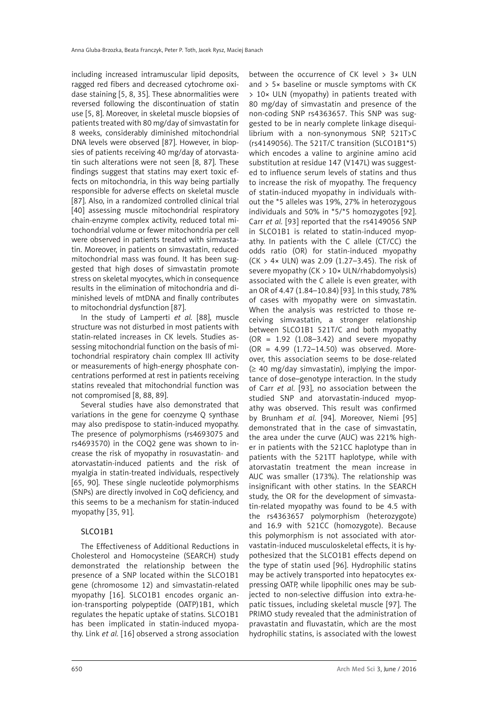including increased intramuscular lipid deposits, ragged red fibers and decreased cytochrome oxidase staining [5, 8, 35]. These abnormalities were reversed following the discontinuation of statin use [5, 8]. Moreover, in skeletal muscle biopsies of patients treated with 80 mg/day of simvastatin for 8 weeks, considerably diminished mitochondrial DNA levels were observed [87]. However, in biopsies of patients receiving 40 mg/day of atorvastatin such alterations were not seen [8, 87]. These findings suggest that statins may exert toxic effects on mitochondria, in this way being partially responsible for adverse effects on skeletal muscle [87]. Also, in a randomized controlled clinical trial [40] assessing muscle mitochondrial respiratory chain-enzyme complex activity, reduced total mitochondrial volume or fewer mitochondria per cell were observed in patients treated with simvastatin. Moreover, in patients on simvastatin, reduced mitochondrial mass was found. It has been suggested that high doses of simvastatin promote stress on skeletal myocytes, which in consequence results in the elimination of mitochondria and diminished levels of mtDNA and finally contributes to mitochondrial dysfunction [87].

In the study of Lamperti *et al.* [88], muscle structure was not disturbed in most patients with statin-related increases in CK levels. Studies assessing mitochondrial function on the basis of mitochondrial respiratory chain complex III activity or measurements of high-energy phosphate concentrations performed at rest in patients receiving statins revealed that mitochondrial function was not compromised [8, 88, 89].

Several studies have also demonstrated that variations in the gene for coenzyme Q synthase may also predispose to statin-induced myopathy. The presence of polymorphisms (rs4693075 and rs4693570) in the COQ2 gene was shown to increase the risk of myopathy in rosuvastatin- and atorvastatin-induced patients and the risk of myalgia in statin-treated individuals, respectively [65, 90]. These single nucleotide polymorphisms (SNPs) are directly involved in CoQ deficiency, and this seems to be a mechanism for statin-induced myopathy [35, 91].

# SLCO1B1

The Effectiveness of Additional Reductions in Cholesterol and Homocysteine (SEARCH) study demonstrated the relationship between the presence of a SNP located within the SLCO1B1 gene (chromosome 12) and simvastatin-related myopathy [16]. SLCO1B1 encodes organic anion-transporting polypeptide (OATP)1B1, which regulates the hepatic uptake of statins. SLCO1B1 has been implicated in statin-induced myopathy. Link *et al.* [16] observed a strong association between the occurrence of CK level > 3× ULN and  $> 5\times$  baseline or muscle symptoms with CK > 10× ULN (myopathy) in patients treated with 80 mg/day of simvastatin and presence of the non-coding SNP rs4363657. This SNP was suggested to be in nearly complete linkage disequilibrium with a non-synonymous SNP, 521T>C (rs4149056). The 521T/C transition (SLCO1B1\*5) which encodes a valine to arginine amino acid substitution at residue 147 (V147L) was suggested to influence serum levels of statins and thus to increase the risk of myopathy. The frequency of statin-induced myopathy in individuals without the \*5 alleles was 19%, 27% in heterozygous individuals and 50% in \*5/\*5 homozygotes [92]. Carr *et al.* [93] reported that the rs4149056 SNP in SLCO1B1 is related to statin-induced myopathy. In patients with the C allele (CT/CC) the odds ratio (OR) for statin-induced myopathy (CK > 4× ULN) was 2.09 (1.27–3.45). The risk of severe myopathy (CK > 10× ULN/rhabdomyolysis) associated with the C allele is even greater, with an OR of 4.47 (1.84–10.84) [93]. In this study, 78% of cases with myopathy were on simvastatin. When the analysis was restricted to those receiving simvastatin, a stronger relationship between SLCO1B1 521T/C and both myopathy  $(OR = 1.92 (1.08-3.42)$  and severe myopathy (OR = 4.99 (1.72–14.50) was observed. Moreover, this association seems to be dose-related  $(\geq 40 \text{ mg/day}$  simvastatin), implying the importance of dose–genotype interaction. In the study of Carr *et al.* [93], no association between the studied SNP and atorvastatin-induced myopathy was observed. This result was confirmed by Brunham *et al.* [94]. Moreover, Niemi [95] demonstrated that in the case of simvastatin, the area under the curve (AUC) was 221% higher in patients with the 521CC haplotype than in patients with the 521TT haplotype, while with atorvastatin treatment the mean increase in AUC was smaller (173%). The relationship was insignificant with other statins. In the SEARCH study, the OR for the development of simvastatin-related myopathy was found to be 4.5 with the rs4363657 polymorphism (heterozygote) and 16.9 with 521CC (homozygote). Because this polymorphism is not associated with atorvastatin-induced musculoskeletal effects, it is hypothesized that the SLCO1B1 effects depend on the type of statin used [96]. Hydrophilic statins may be actively transported into hepatocytes expressing OATP, while lipophilic ones may be subjected to non-selective diffusion into extra-hepatic tissues, including skeletal muscle [97]. The PRIMO study revealed that the administration of pravastatin and fluvastatin, which are the most hydrophilic statins, is associated with the lowest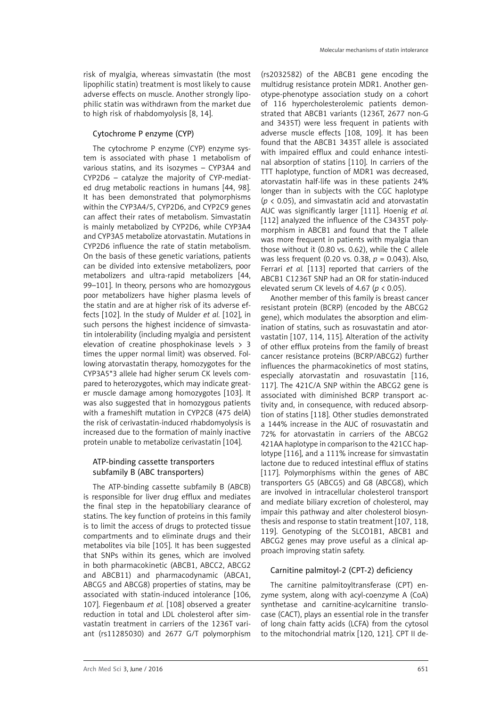risk of myalgia, whereas simvastatin (the most lipophilic statin) treatment is most likely to cause adverse effects on muscle. Another strongly lipophilic statin was withdrawn from the market due to high risk of rhabdomyolysis [8, 14].

# Cytochrome P enzyme (CYP)

The cytochrome P enzyme (CYP) enzyme system is associated with phase 1 metabolism of various statins, and its isozymes – CYP3A4 and CYP2D6 – catalyze the majority of CYP-mediated drug metabolic reactions in humans [44, 98]. It has been demonstrated that polymorphisms within the CYP3A4/5, CYP2D6, and CYP2C9 genes can affect their rates of metabolism. Simvastatin is mainly metabolized by CYP2D6, while CYP3A4 and CYP3A5 metabolize atorvastatin. Mutations in CYP2D6 influence the rate of statin metabolism. On the basis of these genetic variations, patients can be divided into extensive metabolizers, poor metabolizers and ultra-rapid metabolizers [44, 99–101]. In theory, persons who are homozygous poor metabolizers have higher plasma levels of the statin and are at higher risk of its adverse effects [102]. In the study of Mulder *et al.* [102], in such persons the highest incidence of simvastatin intolerability (including myalgia and persistent elevation of creatine phosphokinase levels > 3 times the upper normal limit) was observed. Following atorvastatin therapy, homozygotes for the CYP3A5\*3 allele had higher serum CK levels compared to heterozygotes, which may indicate greater muscle damage among homozygotes [103]. It was also suggested that in homozygous patients with a frameshift mutation in CYP2C8 (475 delA) the risk of cerivastatin-induced rhabdomyolysis is increased due to the formation of mainly inactive protein unable to metabolize cerivastatin [104].

## ATP-binding cassette transporters subfamily B (ABC transporters)

The ATP-binding cassette subfamily B (ABCB) is responsible for liver drug efflux and mediates the final step in the hepatobiliary clearance of statins. The key function of proteins in this family is to limit the access of drugs to protected tissue compartments and to eliminate drugs and their metabolites via bile [105]. It has been suggested that SNPs within its genes, which are involved in both pharmacokinetic (ABCB1, ABCC2, ABCG2 and ABCB11) and pharmacodynamic (ABCA1, ABCG5 and ABCG8) properties of statins, may be associated with statin-induced intolerance [106, 107]. Fiegenbaum *et al.* [108] observed a greater reduction in total and LDL cholesterol after simvastatin treatment in carriers of the 1236T variant (rs11285030) and 2677 G/T polymorphism

(rs2032582) of the ABCB1 gene encoding the multidrug resistance protein MDR1. Another genotype-phenotype association study on a cohort of 116 hypercholesterolemic patients demonstrated that ABCB1 variants (1236T, 2677 non-G and 3435T) were less frequent in patients with adverse muscle effects [108, 109]. It has been found that the ABCB1 3435T allele is associated with impaired efflux and could enhance intestinal absorption of statins [110]. In carriers of the TTT haplotype, function of MDR1 was decreased, atorvastatin half-life was in these patients 24% longer than in subjects with the CGC haplotype  $(p \lt 0.05)$ , and simvastatin acid and atorvastatin AUC was significantly larger [111]. Hoenig *et al.* [112] analyzed the influence of the C3435T polymorphism in ABCB1 and found that the T allele was more frequent in patients with myalgia than those without it (0.80 vs. 0.62), while the C allele was less frequent (0.20 vs. 0.38, *p* = 0.043). Also, Ferrari *et al.* [113] reported that carriers of the ABCB1 C1236T SNP had an OR for statin-induced elevated serum CK levels of 4.67 (*p* < 0.05).

Another member of this family is breast cancer resistant protein (BCRP) (encoded by the ABCG2 gene), which modulates the absorption and elimination of statins, such as rosuvastatin and atorvastatin [107, 114, 115]. Alteration of the activity of other efflux proteins from the family of breast cancer resistance proteins (BCRP/ABCG2) further influences the pharmacokinetics of most statins, especially atorvastatin and rosuvastatin [116, 117]. The 421C/A SNP within the ABCG2 gene is associated with diminished BCRP transport activity and, in consequence, with reduced absorption of statins [118]. Other studies demonstrated a 144% increase in the AUC of rosuvastatin and 72% for atorvastatin in carriers of the ABCG2 421AA haplotype in comparison to the 421CC haplotype [116], and a 111% increase for simvastatin lactone due to reduced intestinal efflux of statins [117]. Polymorphisms within the genes of ABC transporters G5 (ABCG5) and G8 (ABCG8), which are involved in intracellular cholesterol transport and mediate biliary excretion of cholesterol, may impair this pathway and alter cholesterol biosynthesis and response to statin treatment [107, 118, 119]. Genotyping of the SLCO1B1, ABCB1 and ABCG2 genes may prove useful as a clinical approach improving statin safety.

#### Carnitine palmitoyl-2 (CPT-2) deficiency

The carnitine palmitoyltransferase (CPT) enzyme system, along with acyl-coenzyme A (CoA) synthetase and carnitine-acylcarnitine translocase (CACT), plays an essential role in the transfer of long chain fatty acids (LCFA) from the cytosol to the mitochondrial matrix [120, 121]. CPT II de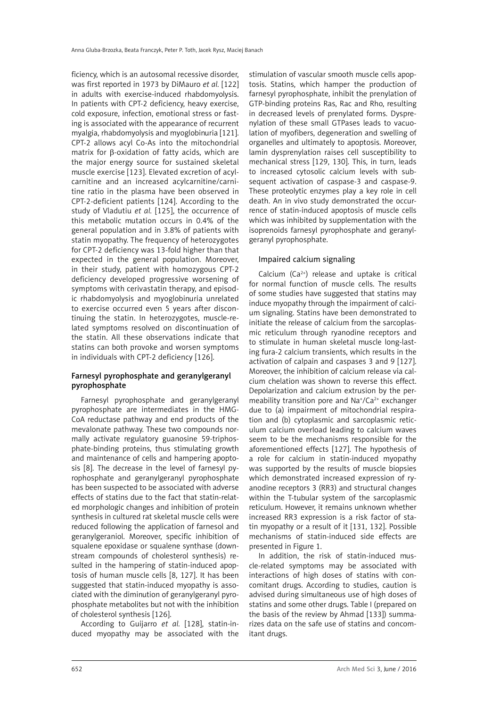ficiency, which is an autosomal recessive disorder, was first reported in 1973 by DiMauro *et al.* [122] in adults with exercise-induced rhabdomyolysis. In patients with CPT-2 deficiency, heavy exercise, cold exposure, infection, emotional stress or fasting is associated with the appearance of recurrent myalgia, rhabdomyolysis and myoglobinuria [121]. CPT-2 allows acyl Co-As into the mitochondrial matrix for β-oxidation of fatty acids, which are the major energy source for sustained skeletal muscle exercise [123]. Elevated excretion of acylcarnitine and an increased acylcarnitine/carnitine ratio in the plasma have been observed in CPT-2-deficient patients [124]. According to the study of Vladutiu *et al.* [125], the occurrence of this metabolic mutation occurs in 0.4% of the general population and in 3.8% of patients with statin myopathy. The frequency of heterozygotes for CPT-2 deficiency was 13-fold higher than that expected in the general population. Moreover, in their study, patient with homozygous CPT-2 deficiency developed progressive worsening of symptoms with cerivastatin therapy, and episodic rhabdomyolysis and myoglobinuria unrelated to exercise occurred even 5 years after discontinuing the statin. In heterozygotes, muscle-related symptoms resolved on discontinuation of the statin. All these observations indicate that statins can both provoke and worsen symptoms in individuals with CPT-2 deficiency [126].

# Farnesyl pyrophosphate and geranylgeranyl pyrophosphate

Farnesyl pyrophosphate and geranylgeranyl pyrophosphate are intermediates in the HMG-CoA reductase pathway and end products of the mevalonate pathway. These two compounds normally activate regulatory guanosine 59-triphosphate-binding proteins, thus stimulating growth and maintenance of cells and hampering apoptosis [8]. The decrease in the level of farnesyl pyrophosphate and geranylgeranyl pyrophosphate has been suspected to be associated with adverse effects of statins due to the fact that statin-related morphologic changes and inhibition of protein synthesis in cultured rat skeletal muscle cells were reduced following the application of farnesol and geranylgeraniol. Moreover, specific inhibition of squalene epoxidase or squalene synthase (downstream compounds of cholesterol synthesis) resulted in the hampering of statin-induced apoptosis of human muscle cells [8, 127]. It has been suggested that statin-induced myopathy is associated with the diminution of geranylgeranyl pyrophosphate metabolites but not with the inhibition of cholesterol synthesis [126].

According to Guijarro *et al.* [128], statin-induced myopathy may be associated with the stimulation of vascular smooth muscle cells apoptosis. Statins, which hamper the production of farnesyl pyrophosphate, inhibit the prenylation of GTP-binding proteins Ras, Rac and Rho, resulting in decreased levels of prenylated forms. Dysprenylation of these small GTPases leads to vacuolation of myofibers, degeneration and swelling of organelles and ultimately to apoptosis. Moreover, lamin dysprenylation raises cell susceptibility to mechanical stress [129, 130]. This, in turn, leads to increased cytosolic calcium levels with subsequent activation of caspase-3 and caspase-9. These proteolytic enzymes play a key role in cell death. An in vivo study demonstrated the occurrence of statin-induced apoptosis of muscle cells which was inhibited by supplementation with the isoprenoids farnesyl pyrophosphate and geranylgeranyl pyrophosphate.

## Impaired calcium signaling

Calcium  $(Ca^{2+})$  release and uptake is critical for normal function of muscle cells. The results of some studies have suggested that statins may induce myopathy through the impairment of calcium signaling. Statins have been demonstrated to initiate the release of calcium from the sarcoplasmic reticulum through ryanodine receptors and to stimulate in human skeletal muscle long-lasting fura-2 calcium transients, which results in the activation of calpain and caspases 3 and 9 [127]. Moreover, the inhibition of calcium release via calcium chelation was shown to reverse this effect. Depolarization and calcium extrusion by the permeability transition pore and Na<sup>+</sup>/Ca<sup>2+</sup> exchanger due to (a) impairment of mitochondrial respiration and (b) cytoplasmic and sarcoplasmic reticulum calcium overload leading to calcium waves seem to be the mechanisms responsible for the aforementioned effects [127]. The hypothesis of a role for calcium in statin-induced myopathy was supported by the results of muscle biopsies which demonstrated increased expression of ryanodine receptors 3 (RR3) and structural changes within the T-tubular system of the sarcoplasmic reticulum. However, it remains unknown whether increased RR3 expression is a risk factor of statin myopathy or a result of it [131, 132]. Possible mechanisms of statin-induced side effects are presented in Figure 1.

In addition, the risk of statin-induced muscle-related symptoms may be associated with interactions of high doses of statins with concomitant drugs. According to studies, caution is advised during simultaneous use of high doses of statins and some other drugs. Table I (prepared on the basis of the review by Ahmad [133]) summarizes data on the safe use of statins and concomitant drugs.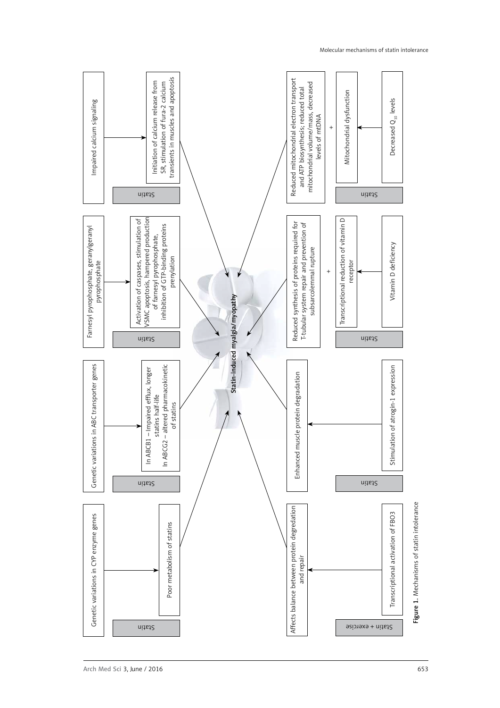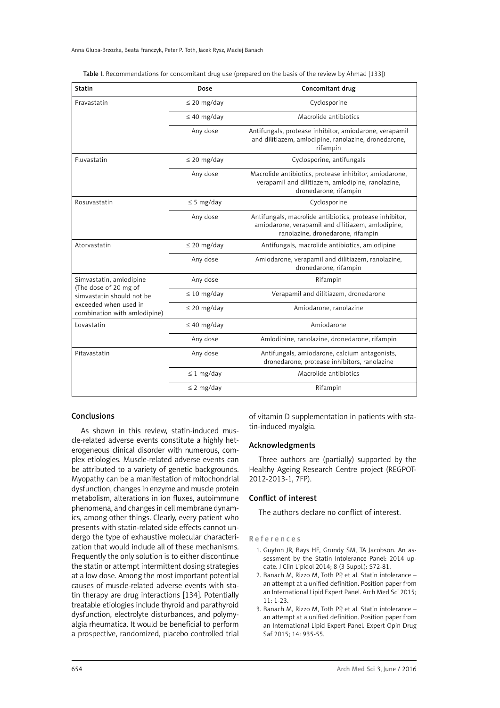| <b>Statin</b>                                         | Dose             | Concomitant drug                                                                                                                                  |  |  |
|-------------------------------------------------------|------------------|---------------------------------------------------------------------------------------------------------------------------------------------------|--|--|
| Pravastatin                                           | $\leq$ 20 mg/day | Cyclosporine                                                                                                                                      |  |  |
|                                                       | $\leq$ 40 mg/day | Macrolide antibiotics                                                                                                                             |  |  |
|                                                       | Any dose         | Antifungals, protease inhibitor, amiodarone, verapamil<br>and dilitiazem, amlodipine, ranolazine, dronedarone,<br>rifampin                        |  |  |
| Fluvastatin                                           | $\leq$ 20 mg/day | Cyclosporine, antifungals                                                                                                                         |  |  |
|                                                       | Any dose         | Macrolide antibiotics, protease inhibitor, amiodarone,<br>verapamil and dilitiazem, amlodipine, ranolazine,<br>dronedarone, rifampin              |  |  |
| Rosuvastatin                                          | $\leq$ 5 mg/day  | Cyclosporine                                                                                                                                      |  |  |
|                                                       | Any dose         | Antifungals, macrolide antibiotics, protease inhibitor,<br>amiodarone, verapamil and dilitiazem, amlodipine,<br>ranolazine, dronedarone, rifampin |  |  |
| Atorvastatin                                          | $\leq$ 20 mg/day | Antifungals, macrolide antibiotics, amlodipine                                                                                                    |  |  |
|                                                       | Any dose         | Amiodarone, verapamil and dilitiazem, ranolazine,<br>dronedarone, rifampin                                                                        |  |  |
| Simvastatin, amlodipine                               | Any dose         | Rifampin                                                                                                                                          |  |  |
| (The dose of 20 mg of<br>simvastatin should not be    | $\leq 10$ mg/day | Verapamil and dilitiazem, dronedarone                                                                                                             |  |  |
| exceeded when used in<br>combination with amlodipine) | $\leq$ 20 mg/day | Amiodarone, ranolazine                                                                                                                            |  |  |
| Lovastatin                                            | $\leq$ 40 mg/day | Amiodarone                                                                                                                                        |  |  |
|                                                       | Any dose         | Amlodipine, ranolazine, dronedarone, rifampin                                                                                                     |  |  |
| Pitavastatin                                          | Any dose         | Antifungals, amiodarone, calcium antagonists,<br>dronedarone, protease inhibitors, ranolazine                                                     |  |  |
|                                                       | $\leq 1$ mg/day  | Macrolide antibiotics                                                                                                                             |  |  |
|                                                       | $\leq$ 2 mg/day  | Rifampin                                                                                                                                          |  |  |

|  | Table I. Recommendations for concomitant drug use (prepared on the basis of the review by Ahmad [133]) |  |  |  |  |  |  |  |
|--|--------------------------------------------------------------------------------------------------------|--|--|--|--|--|--|--|
|--|--------------------------------------------------------------------------------------------------------|--|--|--|--|--|--|--|

## Conclusions

As shown in this review, statin-induced muscle-related adverse events constitute a highly heterogeneous clinical disorder with numerous, complex etiologies. Muscle-related adverse events can be attributed to a variety of genetic backgrounds. Myopathy can be a manifestation of mitochondrial dysfunction, changes in enzyme and muscle protein metabolism, alterations in ion fluxes, autoimmune phenomena, and changes in cell membrane dynamics, among other things. Clearly, every patient who presents with statin-related side effects cannot undergo the type of exhaustive molecular characterization that would include all of these mechanisms. Frequently the only solution is to either discontinue the statin or attempt intermittent dosing strategies at a low dose. Among the most important potential causes of muscle-related adverse events with statin therapy are drug interactions [134]. Potentially treatable etiologies include thyroid and parathyroid dysfunction, electrolyte disturbances, and polymyalgia rheumatica. It would be beneficial to perform a prospective, randomized, placebo controlled trial

of vitamin D supplementation in patients with statin-induced myalgia.

#### Acknowledgments

Three authors are (partially) supported by the Healthy Ageing Research Centre project (REGPOT-2012-2013-1, 7FP).

#### Conflict of interest

The authors declare no conflict of interest.

#### References

- 1. Guyton JR, Bays HE, Grundy SM, TA Jacobson. An assessment by the Statin Intolerance Panel: 2014 update. J Clin Lipidol 2014; 8 (3 Suppl.): S72-81.
- 2. Banach M, Rizzo M, Toth PP, et al. Statin intolerance an attempt at a unified definition. Position paper from an International Lipid Expert Panel. Arch Med Sci 2015;  $11 \cdot 1 - 23$
- 3. Banach M, Rizzo M, Toth PP, et al. Statin intolerance an attempt at a unified definition. Position paper from an International Lipid Expert Panel. Expert Opin Drug Saf 2015; 14: 935-55.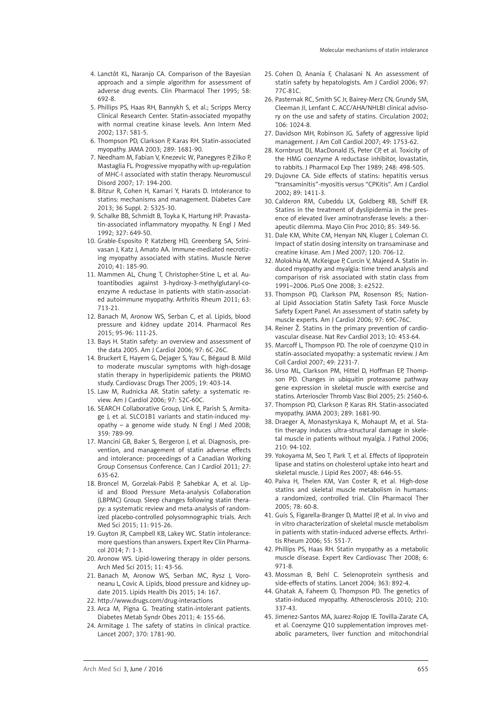- 4. Lanctôt KL, Naranjo CA. Comparison of the Bayesian approach and a simple algorithm for assessment of adverse drug events. Clin Pharmacol Ther 1995; 58: 692-8.
- 5. Phillips PS, Haas RH, Bannykh S, et al.; Scripps Mercy Clinical Research Center. Statin-associated myopathy with normal creatine kinase levels. Ann Intern Med 2002; 137: 581-5.
- 6. Thompson PD, Clarkson P, Karas RH. Statin-associated myopathy. JAMA 2003; 289: 1681-90.
- 7. Needham M, Fabian V, Knezevic W, Panegyres P, Zilko P, Mastaglia FL. Progressive myopathy with up-regulation of MHC-I associated with statin therapy. Neuromuscul Disord 2007; 17: 194-200.
- 8. Bitzur R, Cohen H, Kamari Y, Harats D. Intolerance to statins: mechanisms and management. Diabetes Care 2013; 36 Suppl. 2: S325-30.
- 9. Schalke BB, Schmidt B, Toyka K, Hartung HP. Pravastatin-associated inflammatory myopathy. N Engl J Med 1992; 327: 649-50.
- 10. Grable-Esposito P, Katzberg HD, Greenberg SA, Srinivasan J, Katz J, Amato AA. Immune-mediated necrotizing myopathy associated with statins. Muscle Nerve 2010; 41: 185-90.
- 11. Mammen AL, Chung T, Christopher-Stine L, et al. Autoantibodies against 3-hydroxy-3-methylglutaryl-coenzyme A reductase in patients with statin-associated autoimmune myopathy. Arthritis Rheum 2011; 63: 713-21.
- 12. Banach M, Aronow WS, Serban C, et al. Lipids, blood pressure and kidney update 2014. Pharmacol Res 2015; 95-96: 111-25.
- 13. Bays H. Statin safety: an overview and assessment of the data 2005. Am J Cardiol 2006; 97: 6C-26C.
- 14. Bruckert E, Hayem G, Dejager S, Yau C, Bégaud B. Mild to moderate muscular symptoms with high-dosage statin therapy in hyperlipidemic patients the PRIMO study. Cardiovasc Drugs Ther 2005; 19: 403-14.
- 15. Law M, Rudnicka AR. Statin safety: a systematic review. Am J Cardiol 2006; 97: 52C-60C.
- 16. SEARCH Collaborative Group, Link E, Parish S, Armitage J, et al. SLCO1B1 variants and statin-induced myopathy – a genome wide study. N Engl J Med 2008; 359: 789-99.
- 17. Mancini GB, Baker S, Bergeron J, et al. Diagnosis, prevention, and management of statin adverse effects and intolerance: proceedings of a Canadian Working Group Consensus Conference. Can J Cardiol 2011; 27: 635-62.
- 18. Broncel M, Gorzelak-Pabiś P, Sahebkar A, et al. Lipid and Blood Pressure Meta-analysis Collaboration (LBPMC) Group. Sleep changes following statin therapy: a systematic review and meta-analysis of randomized placebo-controlled polysomnographic trials. Arch Med Sci 2015; 11: 915-26.
- 19. Guyton JR, Campbell KB, Lakey WC. Statin intolerance: more questions than answers. Expert Rev Clin Pharmacol 2014; 7: 1-3.
- 20. Aronow WS. Lipid-lowering therapy in older persons. Arch Med Sci 2015; 11: 43-56.
- 21. Banach M, Aronow WS, Serban MC, Rysz J, Voroneanu L, Covic A. Lipids, blood pressure and kidney update 2015. Lipids Health Dis 2015; 14: 167.
- 22. http://www.drugs.com/drug-interactions
- 23. Arca M, Pigna G. Treating statin-intolerant patients. Diabetes Metab Syndr Obes 2011; 4: 155-66.
- 24. Armitage J. The safety of statins in clinical practice. Lancet 2007; 370: 1781-90.
- 25. Cohen D, Anania F, Chalasani N. An assessment of statin safety by hepatologists. Am J Cardiol 2006; 97: 77C-81C.
- 26. Pasternak RC, Smith SC Jr, Bairey-Merz CN, Grundy SM, Cleeman JI, Lenfant C. ACC/AHA/NHLBI clinical advisory on the use and safety of statins. Circulation 2002; 106: 1024-8.
- 27. Davidson MH, Robinson JG. Safety of aggressive lipid management. J Am Coll Cardiol 2007; 49: 1753-62.
- 28. Kornbrust DJ, MacDonald JS, Peter CP, et al. Toxicity of the HMG coenzyme A reductase inhibitor, lovastatin, to rabbits. J Pharmacol Exp Ther 1989; 248: 498-505.
- 29. Dujovne CA. Side effects of statins: hepatitis versus "transaminitis"-myositis versus "CPKitis". Am J Cardiol 2002; 89: 1411-3.
- 30. Calderon RM, Cubeddu LX, Goldberg RB, Schiff ER. Statins in the treatment of dyslipidemia in the presence of elevated liver aminotransferase levels: a therapeutic dilemma. Mayo Clin Proc 2010; 85: 349-56.
- 31. Dale KM, White CM, Henyan NN, Kluger J, Coleman CI. Impact of statin dosing intensity on transaminase and creatine kinase. Am J Med 2007; 120: 706-12.
- 32. Molokhia M, McKeigue P, Curcin V, Majeed A. Statin induced myopathy and myalgia: time trend analysis and comparison of risk associated with statin class from 1991–2006. PLoS One 2008; 3: e2522.
- 33. Thompson PD, Clarkson PM, Rosenson RS; National Lipid Association Statin Safety Task Force Muscle Safety Expert Panel. An assessment of statin safety by muscle experts. Am J Cardiol 2006; 97: 69C-76C.
- 34. Reiner Ž. Statins in the primary prevention of cardiovascular disease. Nat Rev Cardiol 2013; 10: 453-64.
- 35. Marcoff L, Thompson PD. The role of coenzyme Q10 in statin-associated myopathy: a systematic review. J Am Coll Cardiol 2007; 49: 2231-7.
- 36. Urso ML, Clarkson PM, Hittel D, Hoffman EP, Thompson PD. Changes in ubiquitin proteasome pathway gene expression in skeletal muscle with exercise and statins. Arterioscler Thromb Vasc Biol 2005; 25: 2560-6.
- 37. Thompson PD, Clarkson P, Karas RH. Statin-associated myopathy. JAMA 2003; 289: 1681-90.
- 38. Draeger A, Monastyrskaya K, Mohaupt M, et al. Statin therapy induces ultra-structural damage in skeletal muscle in patients without myalgia. J Pathol 2006; 210: 94-102.
- 39. Yokoyama M, Seo T, Park T, et al. Effects of lipoprotein lipase and statins on cholesterol uptake into heart and skeletal muscle. J Lipid Res 2007; 48: 646-55.
- 40. Paiva H, Thelen KM, Van Coster R, et al. High-dose statins and skeletal muscle metabolism in humans: a randomized, controlled trial. Clin Pharmacol Ther 2005; 78: 60-8.
- 41. Guis S, Figarella-Branger D, Mattei JP, et al. In vivo and in vitro characterization of skeletal muscle metabolism in patients with statin-induced adverse effects. Arthritis Rheum 2006; 55: 551-7.
- 42. Phillips PS, Haas RH. Statin myopathy as a metabolic muscle disease. Expert Rev Cardiovasc Ther 2008; 6: 971-8.
- 43. Mossman B, Behl C. Selenoprotein synthesis and side-effects of statins. Lancet 2004; 363: 892-4.
- 44. Ghatak A, Faheem O, Thompson PD. The genetics of statin-induced myopathy. Atherosclerosis 2010; 210: 337-43.
- 45. Jimenez-Santos MA, Juarez-Rojop IE. Tovilla-Zarate CA, et al. Coenzyme Q10 supplementation improves metabolic parameters, liver function and mitochondrial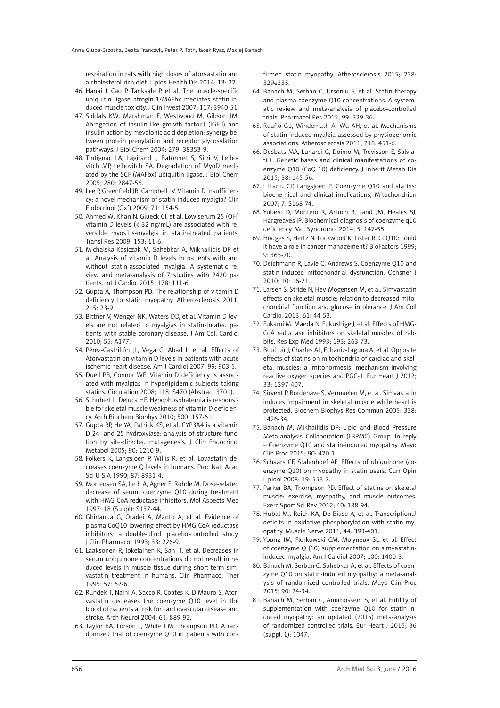respiration in rats with high doses of atorvastatin and a cholesterol-rich diet. Lipids Health Dis 2014; 13: 22.

- 46. Hanai J, Cao P, Tanksale P, et al. The muscle-specific ubiquitin ligase atrogin-1/MAFbx mediates statin-induced muscle toxicity. J Clin Invest 2007; 117: 3940-51.
- 47. Siddals KW, Marshman E, Westwood M, Gibson JM. Abrogation of insulin-like growth factor-I (IGF-I) and insulin action by mevalonic acid depletion: synergy between protein prenylation and receptor glycosylation pathways. J Biol Chem 2004; 279: 38353-9.
- 48. Tintignac LA, Lagirand J, Batonnet S, Sirri V, Leibovitch MP, Leibovitch SA. Degradation of MyoD mediated by the SCF (MAFbx) ubiquitin ligase. J Biol Chem 2005; 280: 2847-56.
- 49. Lee P, Greenfield JR, Campbell LV. Vitamin D insufficiency: a novel mechanism of statin-induced myalgia? Clin Endocrinol (Oxf) 2009; 71: 154-5.
- 50. Ahmed W, Khan N, Glueck CJ, et al. Low serum 25 (OH) vitamin D levels (< 32 ng/mL) are associated with reversible myositis-myalgia in statin-treated patients. Transl Res 2009; 153: 11-6.
- 51. Michalska-Kasiczak M, Sahebkar A, Mikhailidis DP, et al. Analysis of vitamin D levels in patients with and without statin-associated myalgia. A systematic review and meta-analysis of 7 studies with 2420 patients. Int J Cardiol 2015; 178: 111-6.
- 52. Gupta A, Thompson PD. The relationship of vitamin D deficiency to statin myopathy. Atherosclerosis 2011; 215: 23-9.
- 53. Bittner V, Wenger NK, Waters DD, et al. Vitamin D levels are not related to myalgias in statin-treated patients with stable coronary disease. J Am Coll Cardiol 2010; 55: A177.
- 54. Pérez-Castrillón JL, Vega G, Abad L, et al. Effects of Atorvastatin on vitamin D levels in patients with acute ischemic heart disease. Am J Cardiol 2007; 99: 903-5.
- 55. Duell PB, Connor WE. Vitamin D deficiency is associated with myalgias in hyperlipidemic subjects taking statins. Circulation 2008; 118: S470 (Abstract 3701).
- 56. Schubert L, Deluca HF. Hypophosphatemia is responsible for skeletal muscle weakness of vitamin D deficiency. Arch Biochem Biophys 2010; 500: 157-61.
- 57. Gupta RP, He YA, Patrick KS, et al. CYP3A4 is a vitamin D-24- and 25-hydroxylase: analysis of structure function by site-directed mutagenesis. J Clin Endocrinol Metabol 2005; 90: 1210-9.
- 58. Folkers K, Langsjoen P, Willis R, et al. Lovastatin decreases coenzyme Q levels in humans. Proc Natl Acad Sci U S A 1990; 87: 8931-4.
- 59. Mortensen SA, Leth A, Agner E, Rohde M. Dose-related decrease of serum coenzyme Q10 during treatment with HMG-CoA reductase inhibitors. Mol Aspects Med 1997; 18 (Suppl): S137-44.
- 60. Ghirlanda G, Oradei A, Manto A, et al. Evidence of plasma CoQ10-lowering effect by HMG-CoA reductase inhibitors: a double-blind, placebo-controlled study. J Clin Pharmacol 1993; 33: 226-9.
- 61. Laaksonen R, Jokelainen K, Sahi T, et al. Decreases in serum ubiquinone concentrations do not result in reduced levels in muscle tissue during short-term simvastatin treatment in humans. Clin Pharmacol Ther 1995; 57: 62-6.
- 62. Rundek T, Naini A, Sacco R, Coates K, DiMauro S. Atorvastatin decreases the coenzyme Q10 level in the blood of patients at risk for cardiovascular disease and stroke. Arch Neurol 2004; 61: 889-92.
- 63. Taylor BA, Lorson L, White CM, Thompson PD. A randomized trial of coenzyme Q10 in patients with con-

firmed statin myopathy. Atherosclerosis 2015; 238: 329e335.

- 64. Banach M, Serban C, Ursoniu S, et al. Statin therapy and plasma coenzyme Q10 concentrations. A systematic review and meta-analysis of placebo-controlled trials. Pharmacol Res 2015; 99: 329-36.
- 65. Ruaño G1, Windemuth A, Wu AH, et al. Mechanisms of statin-induced myalgia assessed by physiogenomic associations. Atherosclerosis 2011; 218: 451-6.
- 66. Desbats MA, Lunardi G, Doimo M, Trevisson E, Salviati L. Genetic bases and clinical manifestations of coenzyme Q10 (CoQ 10) deficiency. J Inherit Metab Dis 2015; 38: 145-56.
- 67. Littarru GP, Langsjoen P. Coenzyme Q10 and statins: biochemical and clinical implications, Mitochondrion 2007; 7: S168-74.
- 68. Yubero D, Montero R, Artuch R, Land JM, Heales SJ, Hargreaves IP. Biochemical diagnosis of coenzyme q10 deficiency. Mol Syndromol 2014; 5: 147-55.
- 69. Hodges S, Hertz N, Lockwood K, Lister R. CoQ10: could it have a role in cancer management? BioFactors 1999; 9: 365-70.
- 70. Deichmann R, Lavie C, Andrews S. Coenzyme Q10 and statin-induced mitochondrial dysfunction. Ochsner J 2010; 10: 16-21.
- 71. Larsen S, Stride N, Hey-Mogensen M, et al. Simvastatin effects on skeletal muscle: relation to decreased mitochondrial function and glucose intolerance. J Am Coll Cardiol 2013; 61: 44-53.
- 72. Fukami M, Maeda N, Fukushige J, et al. Effects of HMG-CoA reductase inhibitors on skeletal muscles of rabbits. Res Exp Med 1993; 193: 263-73.
- 73. Bouitbir J, Charles AL, Echaniz-Laguna A, et al. Opposite effects of statins on mitochondria of cardiac and skeletal muscles: a 'mitohormesis' mechanism involving reactive oxygen species and PGC-1. Eur Heart J 2012; 33: 1397-407.
- 74. Sirvent P, Bordenave S, Vermaelen M, et al. Simvastatin induces impairment in skeletal muscle while heart is protected. Biochem Biophys Res Commun 2005; 338: 1426-34.
- 75. Banach M, Mikhailidis DP; Lipid and Blood Pressure Meta-analysis Collaboration (LBPMC) Group. In reply – Coenzyme Q10 and statin-induced myopathy. Mayo Clin Proc 2015; 90: 420-1.
- 76. Schaars CF, Stalenhoef AF. Effects of ubiquinone (coenzyme Q10) on myopathy in statin users. Curr Opin Lipidol 2008; 19: 553-7.
- 77. Parker BA, Thompson PD. Effect of statins on skeletal muscle: exercise, myopathy, and muscle outcomes. Exerc Sport Sci Rev 2012; 40: 188-94.
- 78. Hubal MJ, Reich KA, De Biase A, et al. Transcriptional deficits in oxidative phosphorylation with statin myopathy. Muscle Nerve 2011; 44: 393-401.
- 79. Young JM, Florkowski CM, Molyneux SL, et al. Effect of coenzyme Q (10) supplementation on simvastatininduced myalgia. Am J Cardiol 2007; 100: 1400-3.
- 80. Banach M, Serban C, Sahebkar A, et al. Effects of coenzyme Q10 on statin-induced myopathy: a meta-analysis of randomized controlled trials. Mayo Clin Proc 2015; 90: 24-34.
- 81. Banach M, Serban C, Amirhossein S, et al. Futility of supplementation with coenzyme Q10 for statin-induced myopathy: an updated (2015) meta-analysis of randomized controlled trials. Eur Heart J 2015; 36 (suppl. 1): 1047.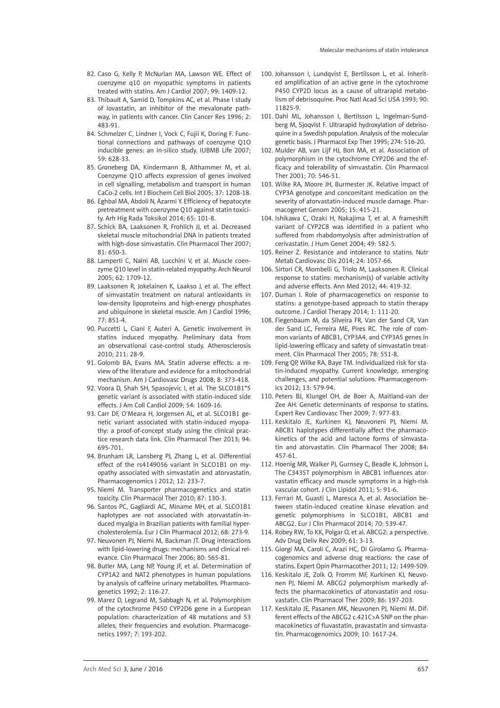- 82. Caso G, Kelly P, McNurlan MA, Lawson WE. Effect of coenzyme q10 on myopathic symptoms in patients treated with statins. Am J Cardiol 2007; 99: 1409-12.
- 83. Thibault A, Samid D, Tompkins AC, et al. Phase I study of lovastatin, an inhibitor of the mevalonate pathway, in patients with cancer. Clin Cancer Res 1996; 2: 483-91.
- 84. Schmelzer C, Lindner I, Vock C, Fujii K, Doring F. Functional connections and pathways of coenzyme Q1O inducible genes: an in-silico study. IUBMB Life 2007; 59: 628-33.
- 85. Groneberg DA, Kindermann B, Althammer M, et al. Coenzyme Q1O affects expression of genes involved in cell signalling, metabolism and transport in human CaCo-2 cells. Int J Biochem Cell Biol 2005; 37: 1208-18.
- 86. Eghbal MA, Abdoli N, Azarmi Y. Efficiency of hepatocyte pretreatment with coenzyme Q10 against statin toxicity. Arh Hig Rada Toksikol 2014; 65: 101-8.
- 87. Schick BA, Laaksonen R, Frohlich JJ, et al. Decreased skeletal muscle mitochondrial DNA in patients treated with high-dose simvastatin. Clin Pharmacol Ther 2007; 81: 650-3.
- 88. Lamperti C, Naini AB, Lucchini V, et al. Muscle coenzyme Q10 level in statin-related myopathy. Arch Neurol 2005; 62: 1709-12.
- 89. Laaksonen R, Jokelainen K, Laakso J, et al. The effect of simvastatin treatment on natural antioxidants in low-density lipoproteins and high-energy phosphates and ubiquinone in skeletal muscle. Am J Cardiol 1996; 77: 851-4.
- 90. Puccetti L, Ciani F, Auteri A. Genetic involvement in statins induced myopathy. Preliminary data from an observational case-control study. Atherosclerosis 2010; 211: 28-9.
- 91. Golomb BA, Evans MA. Statin adverse effects: a review of the literature and evidence for a mitochondrial mechanism. Am J Cardiovasc Drugs 2008; 8: 373-418.
- 92. Voora D, Shah SH, Spasojevic I, et al. The SLCO1B1\*5 genetic variant is associated with statin-induced side effects. J Am Coll Cardiol 2009; 54: 1609-16.
- 93. Carr DF, O'Meara H, Jorgensen AL, et al. SLCO1B1 genetic variant associated with statin-induced myopathy: a proof-of-concept study using the clinical practice research data link. Clin Pharmacol Ther 2013; 94: 695-701.
- 94. Brunham LR, Lansberg PJ, Zhang L, et al. Differential effect of the rs4149056 variant in SLCO1B1 on myopathy associated with simvastatin and atorvastatin. Pharmacogenomics J 2012; 12: 233-7.
- 95. Niemi M. Transporter pharmacogenetics and statin toxicity. Clin Pharmacol Ther 2010; 87: 130-3.
- 96. Santos PC, Gagliardi AC, Miname MH, et al. SLCO1B1 haplotypes are not associated with atorvastatin-induced myalgia in Brazilian patients with familial hypercholesterolemia. Eur J Clin Pharmacol 2012; 68: 273-9.
- 97. Neuvonen PJ, Niemi M, Backman JT. Drug interactions with lipid-lowering drugs: mechanisms and clinical relevance. Clin Pharmacol Ther 2006; 80: 565-81.
- 98. Butler MA, Lang NP, Young JF, et al. Determination of CYP1A2 and NAT2 phenotypes in human populations by analysis of caffeine urinary metabolites. Pharmacogenetics 1992; 2: 116-27.
- 99. Marez D, Legrand M, Sabbagh N, et al. Polymorphism of the cytochrome P450 CYP2D6 gene in a European population: characterization of 48 mutations and 53 alleles, their frequencies and evolution. Pharmacogenetics 1997; 7: 193-202.
- 100. Johansson I, Lundqvist E, Bertilsson L, et al. Inherited amplification of an active gene in the cytochrome P450 CYP2D locus as a cause of ultrarapid metabolism of debrisoquine. Proc Natl Acad Sci USA 1993; 90: 11825-9.
- 101. Dahl ML, Johansson I, Bertilsson L, Ingelman-Sundberg M, Sjoqvist F. Ultrarapid hydroxylation of debrisoquine in a Swedish population. Analysis of the molecular genetic basis. J Pharmacol Exp Ther 1995; 274: 516-20.
- 102. Mulder AB, van Lijf HJ, Bon MA, et al. Association of polymorphism in the cytochrome CYP2D6 and the efficacy and tolerability of simvastatin. Clin Pharmacol Ther 2001; 70: 546-51.
- 103. Wilke RA, Moore JH, Burmester JK. Relative impact of CYP3A genotype and concomitant medication on the severity of atorvastatin-induced muscle damage. Pharmacogenet Genom 2005; 15: 415-21.
- 104. Ishikawa C, Ozaki H, Nakajima T, et al. A frameshift variant of CYP2C8 was identified in a patient who suffered from rhabdomyolysis after administration of cerivastatin. J Hum Genet 2004; 49: 582-5.
- 105. Reiner Z. Resistance and intolerance to statins. Nutr Metab Cardiovasc Dis 2014; 24: 1057-66.
- 106. Sirtori CR, Mombelli G, Triolo M, Laaksonen R. Clinical response to statins: mechanism(s) of variable activity and adverse effects. Ann Med 2012; 44: 419-32.
- 107. Duman I. Role of pharmacogenetics on response to statins: a genotype-based approach to statin therapy outcome. J Cardiol Therapy 2014; 1: 111-20.
- 108. Fiegenbaum M, da Silveira FR, Van der Sand CR, Van der Sand LC, Ferreira ME, Pires RC. The role of common variants of ABCB1, CYP3A4, and CYP3A5 genes in lipid-lowering efficacy and safety of simvastatin treatment. Clin Pharmacol Ther 2005; 78: 551-8.
- 109. Feng QP, Wilke RA, Baye TM. Individualized risk for statin-induced myopathy. Current knowledge, emerging challenges, and potential solutions. Pharmacogenomics 2012; 13: 579-94.
- 110. Peters BJ, Klungel OH, de Boer A, Maitland-van der Zee AH. Genetic determinants of response to statins. Expert Rev Cardiovasc Ther 2009; 7: 977-83.
- 111. Keskitalo JE, Kurkinen KJ, Neuvoneni PJ, Niemi M. ABCB1 haplotypes differentially affect the pharmacokinetics of the acid and lactone forms of simvastatin and atorvastatin. Clin Pharmacol Ther 2008; 84: 457-61.
- 112. Hoenig MR, Walker PJ, Gurnsey C, Beadle K, Johnson L. The C3435T polymorphism in ABCB1 influences atorvastatin efficacy and muscle symptoms in a high-risk vascular cohort. J Clin Lipidol 2011; 5: 91-6.
- 113. Ferrari M, Guasti L, Maresca A, et al. Association between statin-induced creatine kinase elevation and genetic polymorphisms in SLCO1B1, ABCB1 and ABCG2. Eur J Clin Pharmacol 2014; 70: 539-47.
- 114. Robey RW, To KK, Polgar O, et al. ABCG2: a perspective. Adv Drug Deliv Rev 2009; 61: 3-13.
- 115. Giorgi MA, Caroli C, Arazi HC, Di Girolamo G. Pharmacogenomics and adverse drug reactions: the case of statins. Expert Opin Pharmacother 2011; 12: 1499-509.
- 116. Keskitalo JE, Zolk O, Fromm MF, Kurkinen KJ, Neuvonen PJ, Niemi M. ABCG2 polymorphism markedly affects the pharmacokinetics of atorvastatin and rosuvastatin. Clin Pharmacol Ther 2009; 86: 197-203.
- 117. Keskitalo JE, Pasanen MK, Neuvonen PJ, Niemi M. Different effects of the ABCG2 c.421C>A SNP on the pharmacokinetics of fluvastatin, pravastatin and simvastatin. Pharmacogenomics 2009; 10: 1617-24.